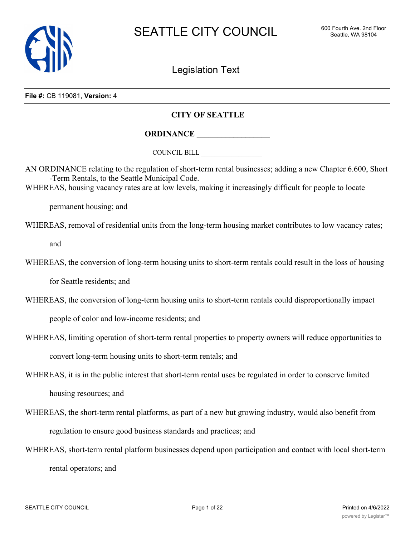

Legislation Text

**File #:** CB 119081, **Version:** 4

# **CITY OF SEATTLE**

**ORDINANCE \_\_\_\_\_\_\_\_\_\_\_\_\_\_\_\_\_\_**

COUNCIL BILL \_\_\_\_\_\_\_\_\_\_\_\_\_\_\_\_\_\_

AN ORDINANCE relating to the regulation of short-term rental businesses; adding a new Chapter 6.600, Short -Term Rentals, to the Seattle Municipal Code.

WHEREAS, housing vacancy rates are at low levels, making it increasingly difficult for people to locate

permanent housing; and

WHEREAS, removal of residential units from the long-term housing market contributes to low vacancy rates;

and

WHEREAS, the conversion of long-term housing units to short-term rentals could result in the loss of housing

for Seattle residents; and

WHEREAS, the conversion of long-term housing units to short-term rentals could disproportionally impact

people of color and low-income residents; and

WHEREAS, limiting operation of short-term rental properties to property owners will reduce opportunities to

convert long-term housing units to short-term rentals; and

WHEREAS, it is in the public interest that short-term rental uses be regulated in order to conserve limited

housing resources; and

- WHEREAS, the short-term rental platforms, as part of a new but growing industry, would also benefit from regulation to ensure good business standards and practices; and
- WHEREAS, short-term rental platform businesses depend upon participation and contact with local short-term rental operators; and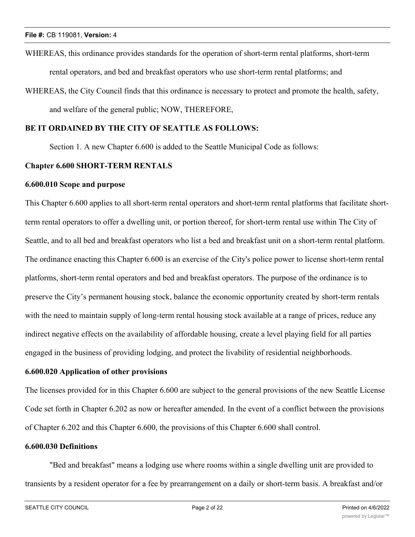WHEREAS, this ordinance provides standards for the operation of short-term rental platforms, short-term rental operators, and bed and breakfast operators who use short-term rental platforms; and

WHEREAS, the City Council finds that this ordinance is necessary to protect and promote the health, safety, and welfare of the general public; NOW, THEREFORE,

# **BE IT ORDAINED BY THE CITY OF SEATTLE AS FOLLOWS:**

Section 1. A new Chapter 6.600 is added to the Seattle Municipal Code as follows:

## **Chapter 6.600 SHORT-TERM RENTALS**

### **6.600.010 Scope and purpose**

This Chapter 6.600 applies to all short-term rental operators and short-term rental platforms that facilitate shortterm rental operators to offer a dwelling unit, or portion thereof, for short-term rental use within The City of Seattle, and to all bed and breakfast operators who list a bed and breakfast unit on a short-term rental platform. The ordinance enacting this Chapter 6.600 is an exercise of the City's police power to license short-term rental platforms, short-term rental operators and bed and breakfast operators. The purpose of the ordinance is to preserve the City's permanent housing stock, balance the economic opportunity created by short-term rentals with the need to maintain supply of long-term rental housing stock available at a range of prices, reduce any indirect negative effects on the availability of affordable housing, create a level playing field for all parties engaged in the business of providing lodging, and protect the livability of residential neighborhoods.

## **6.600.020 Application of other provisions**

The licenses provided for in this Chapter 6.600 are subject to the general provisions of the new Seattle License Code set forth in Chapter 6.202 as now or hereafter amended. In the event of a conflict between the provisions of Chapter 6.202 and this Chapter 6.600, the provisions of this Chapter 6.600 shall control.

### **6.600.030 Definitions**

"Bed and breakfast" means a lodging use where rooms within a single dwelling unit are provided to transients by a resident operator for a fee by prearrangement on a daily or short-term basis. A breakfast and/or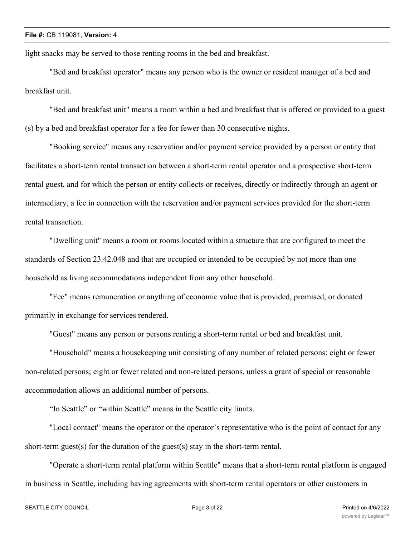light snacks may be served to those renting rooms in the bed and breakfast.

"Bed and breakfast operator" means any person who is the owner or resident manager of a bed and breakfast unit.

"Bed and breakfast unit" means a room within a bed and breakfast that is offered or provided to a guest (s) by a bed and breakfast operator for a fee for fewer than 30 consecutive nights.

"Booking service" means any reservation and/or payment service provided by a person or entity that facilitates a short-term rental transaction between a short-term rental operator and a prospective short-term rental guest, and for which the person or entity collects or receives, directly or indirectly through an agent or intermediary, a fee in connection with the reservation and/or payment services provided for the short-term rental transaction.

"Dwelling unit" means a room or rooms located within a structure that are configured to meet the standards of Section 23.42.048 and that are occupied or intended to be occupied by not more than one household as living accommodations independent from any other household.

"Fee" means remuneration or anything of economic value that is provided, promised, or donated primarily in exchange for services rendered.

"Guest" means any person or persons renting a short-term rental or bed and breakfast unit.

"Household" means a housekeeping unit consisting of any number of related persons; eight or fewer non-related persons; eight or fewer related and non-related persons, unless a grant of special or reasonable accommodation allows an additional number of persons.

"In Seattle" or "within Seattle" means in the Seattle city limits.

"Local contact" means the operator or the operator's representative who is the point of contact for any short-term guest(s) for the duration of the guest(s) stay in the short-term rental.

"Operate a short-term rental platform within Seattle" means that a short-term rental platform is engaged in business in Seattle, including having agreements with short-term rental operators or other customers in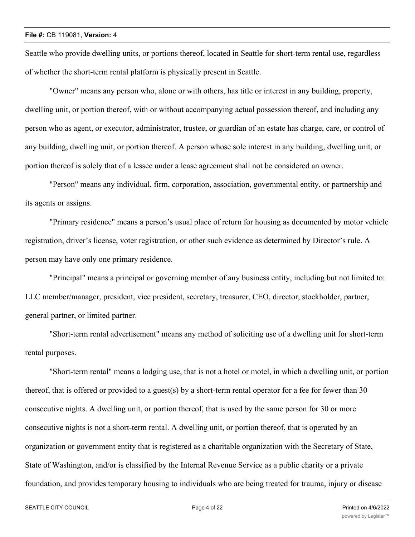Seattle who provide dwelling units, or portions thereof, located in Seattle for short-term rental use, regardless of whether the short-term rental platform is physically present in Seattle.

"Owner" means any person who, alone or with others, has title or interest in any building, property, dwelling unit, or portion thereof, with or without accompanying actual possession thereof, and including any person who as agent, or executor, administrator, trustee, or guardian of an estate has charge, care, or control of any building, dwelling unit, or portion thereof. A person whose sole interest in any building, dwelling unit, or portion thereof is solely that of a lessee under a lease agreement shall not be considered an owner.

"Person" means any individual, firm, corporation, association, governmental entity, or partnership and its agents or assigns.

"Primary residence" means a person's usual place of return for housing as documented by motor vehicle registration, driver's license, voter registration, or other such evidence as determined by Director's rule. A person may have only one primary residence.

"Principal" means a principal or governing member of any business entity, including but not limited to: LLC member/manager, president, vice president, secretary, treasurer, CEO, director, stockholder, partner, general partner, or limited partner.

"Short-term rental advertisement" means any method of soliciting use of a dwelling unit for short-term rental purposes.

"Short-term rental" means a lodging use, that is not a hotel or motel, in which a dwelling unit, or portion thereof, that is offered or provided to a guest(s) by a short-term rental operator for a fee for fewer than 30 consecutive nights. A dwelling unit, or portion thereof, that is used by the same person for 30 or more consecutive nights is not a short-term rental. A dwelling unit, or portion thereof, that is operated by an organization or government entity that is registered as a charitable organization with the Secretary of State, State of Washington, and/or is classified by the Internal Revenue Service as a public charity or a private foundation, and provides temporary housing to individuals who are being treated for trauma, injury or disease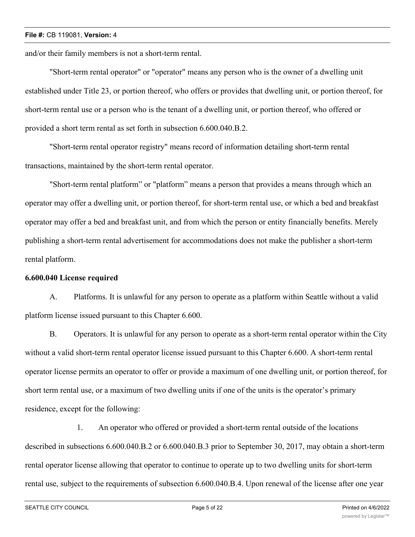and/or their family members is not a short-term rental.

"Short-term rental operator" or "operator" means any person who is the owner of a dwelling unit established under Title 23, or portion thereof, who offers or provides that dwelling unit, or portion thereof, for short-term rental use or a person who is the tenant of a dwelling unit, or portion thereof, who offered or provided a short term rental as set forth in subsection 6.600.040.B.2.

"Short-term rental operator registry" means record of information detailing short-term rental transactions, maintained by the short-term rental operator.

"Short-term rental platform" or "platform" means a person that provides a means through which an operator may offer a dwelling unit, or portion thereof, for short-term rental use, or which a bed and breakfast operator may offer a bed and breakfast unit, and from which the person or entity financially benefits. Merely publishing a short-term rental advertisement for accommodations does not make the publisher a short-term rental platform.

## **6.600.040 License required**

A. Platforms. It is unlawful for any person to operate as a platform within Seattle without a valid platform license issued pursuant to this Chapter 6.600.

B. Operators. It is unlawful for any person to operate as a short-term rental operator within the City without a valid short-term rental operator license issued pursuant to this Chapter 6.600. A short-term rental operator license permits an operator to offer or provide a maximum of one dwelling unit, or portion thereof, for short term rental use, or a maximum of two dwelling units if one of the units is the operator's primary residence, except for the following:

1. An operator who offered or provided a short-term rental outside of the locations described in subsections 6.600.040.B.2 or 6.600.040.B.3 prior to September 30, 2017, may obtain a short-term rental operator license allowing that operator to continue to operate up to two dwelling units for short-term rental use, subject to the requirements of subsection 6.600.040.B.4. Upon renewal of the license after one year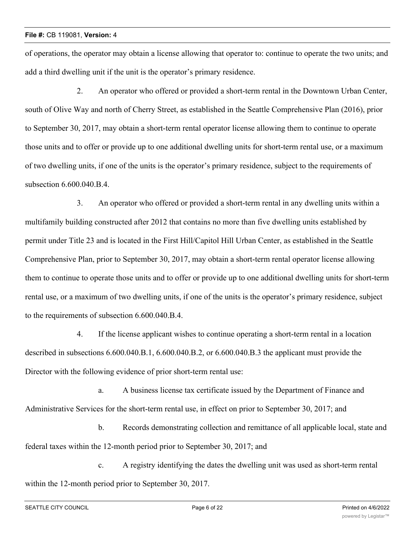of operations, the operator may obtain a license allowing that operator to: continue to operate the two units; and add a third dwelling unit if the unit is the operator's primary residence.

2. An operator who offered or provided a short-term rental in the Downtown Urban Center, south of Olive Way and north of Cherry Street, as established in the Seattle Comprehensive Plan (2016), prior to September 30, 2017, may obtain a short-term rental operator license allowing them to continue to operate those units and to offer or provide up to one additional dwelling units for short-term rental use, or a maximum of two dwelling units, if one of the units is the operator's primary residence, subject to the requirements of subsection 6.600.040.B.4.

3. An operator who offered or provided a short-term rental in any dwelling units within a multifamily building constructed after 2012 that contains no more than five dwelling units established by permit under Title 23 and is located in the First Hill/Capitol Hill Urban Center, as established in the Seattle Comprehensive Plan, prior to September 30, 2017, may obtain a short-term rental operator license allowing them to continue to operate those units and to offer or provide up to one additional dwelling units for short-term rental use, or a maximum of two dwelling units, if one of the units is the operator's primary residence, subject to the requirements of subsection 6.600.040.B.4.

4. If the license applicant wishes to continue operating a short-term rental in a location described in subsections 6.600.040.B.1, 6.600.040.B.2, or 6.600.040.B.3 the applicant must provide the Director with the following evidence of prior short-term rental use:

a. A business license tax certificate issued by the Department of Finance and Administrative Services for the short-term rental use, in effect on prior to September 30, 2017; and

b. Records demonstrating collection and remittance of all applicable local, state and federal taxes within the 12-month period prior to September 30, 2017; and

c. A registry identifying the dates the dwelling unit was used as short-term rental within the 12-month period prior to September 30, 2017.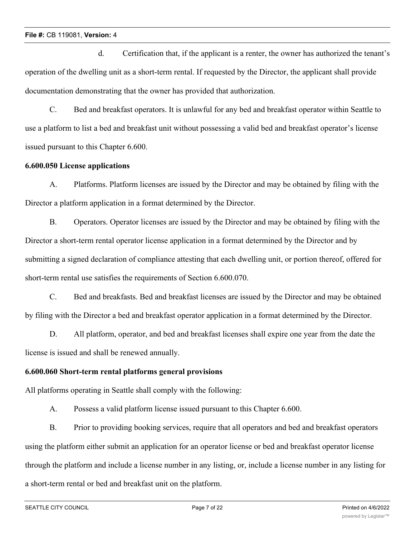d. Certification that, if the applicant is a renter, the owner has authorized the tenant's operation of the dwelling unit as a short-term rental. If requested by the Director, the applicant shall provide documentation demonstrating that the owner has provided that authorization.

C. Bed and breakfast operators. It is unlawful for any bed and breakfast operator within Seattle to use a platform to list a bed and breakfast unit without possessing a valid bed and breakfast operator's license issued pursuant to this Chapter 6.600.

## **6.600.050 License applications**

A. Platforms. Platform licenses are issued by the Director and may be obtained by filing with the Director a platform application in a format determined by the Director.

B. Operators. Operator licenses are issued by the Director and may be obtained by filing with the Director a short-term rental operator license application in a format determined by the Director and by submitting a signed declaration of compliance attesting that each dwelling unit, or portion thereof, offered for short-term rental use satisfies the requirements of Section 6.600.070.

C. Bed and breakfasts. Bed and breakfast licenses are issued by the Director and may be obtained by filing with the Director a bed and breakfast operator application in a format determined by the Director.

D. All platform, operator, and bed and breakfast licenses shall expire one year from the date the license is issued and shall be renewed annually.

# **6.600.060 Short-term rental platforms general provisions**

All platforms operating in Seattle shall comply with the following:

A. Possess a valid platform license issued pursuant to this Chapter 6.600.

B. Prior to providing booking services, require that all operators and bed and breakfast operators using the platform either submit an application for an operator license or bed and breakfast operator license through the platform and include a license number in any listing, or, include a license number in any listing for a short-term rental or bed and breakfast unit on the platform.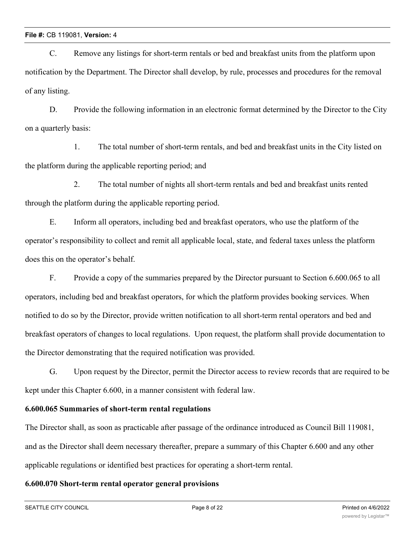C. Remove any listings for short-term rentals or bed and breakfast units from the platform upon notification by the Department. The Director shall develop, by rule, processes and procedures for the removal of any listing.

D. Provide the following information in an electronic format determined by the Director to the City on a quarterly basis:

1. The total number of short-term rentals, and bed and breakfast units in the City listed on the platform during the applicable reporting period; and

2. The total number of nights all short-term rentals and bed and breakfast units rented through the platform during the applicable reporting period.

E. Inform all operators, including bed and breakfast operators, who use the platform of the operator's responsibility to collect and remit all applicable local, state, and federal taxes unless the platform does this on the operator's behalf.

F. Provide a copy of the summaries prepared by the Director pursuant to Section 6.600.065 to all operators, including bed and breakfast operators, for which the platform provides booking services. When notified to do so by the Director, provide written notification to all short-term rental operators and bed and breakfast operators of changes to local regulations. Upon request, the platform shall provide documentation to the Director demonstrating that the required notification was provided.

G. Upon request by the Director, permit the Director access to review records that are required to be kept under this Chapter 6.600, in a manner consistent with federal law.

# **6.600.065 Summaries of short-term rental regulations**

The Director shall, as soon as practicable after passage of the ordinance introduced as Council Bill 119081, and as the Director shall deem necessary thereafter, prepare a summary of this Chapter 6.600 and any other applicable regulations or identified best practices for operating a short-term rental.

# **6.600.070 Short-term rental operator general provisions**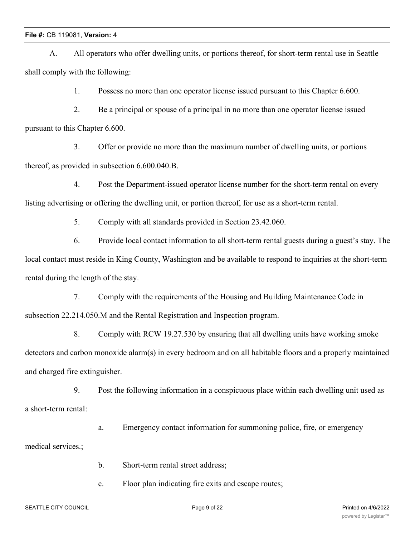A. All operators who offer dwelling units, or portions thereof, for short-term rental use in Seattle shall comply with the following:

1. Possess no more than one operator license issued pursuant to this Chapter 6.600.

2. Be a principal or spouse of a principal in no more than one operator license issued pursuant to this Chapter 6.600.

3. Offer or provide no more than the maximum number of dwelling units, or portions thereof, as provided in subsection 6.600.040.B.

4. Post the Department-issued operator license number for the short-term rental on every listing advertising or offering the dwelling unit, or portion thereof, for use as a short-term rental.

5. Comply with all standards provided in Section 23.42.060.

6. Provide local contact information to all short-term rental guests during a guest's stay. The local contact must reside in King County, Washington and be available to respond to inquiries at the short-term rental during the length of the stay.

7. Comply with the requirements of the Housing and Building Maintenance Code in subsection 22.214.050.M and the Rental Registration and Inspection program.

8. Comply with RCW 19.27.530 by ensuring that all dwelling units have working smoke detectors and carbon monoxide alarm(s) in every bedroom and on all habitable floors and a properly maintained and charged fire extinguisher.

9. Post the following information in a conspicuous place within each dwelling unit used as a short-term rental:

a. Emergency contact information for summoning police, fire, or emergency

medical services.;

b. Short-term rental street address;

c. Floor plan indicating fire exits and escape routes;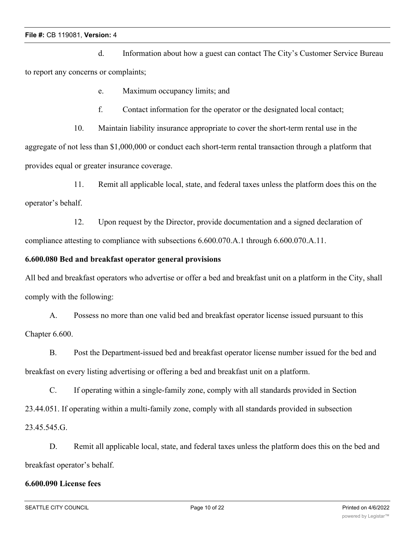d. Information about how a guest can contact The City's Customer Service Bureau to report any concerns or complaints;

- e. Maximum occupancy limits; and
- f. Contact information for the operator or the designated local contact;
- 10. Maintain liability insurance appropriate to cover the short-term rental use in the

aggregate of not less than \$1,000,000 or conduct each short-term rental transaction through a platform that provides equal or greater insurance coverage.

11. Remit all applicable local, state, and federal taxes unless the platform does this on the operator's behalf.

12. Upon request by the Director, provide documentation and a signed declaration of compliance attesting to compliance with subsections 6.600.070.A.1 through 6.600.070.A.11.

## **6.600.080 Bed and breakfast operator general provisions**

All bed and breakfast operators who advertise or offer a bed and breakfast unit on a platform in the City, shall comply with the following:

A. Possess no more than one valid bed and breakfast operator license issued pursuant to this Chapter 6.600.

B. Post the Department-issued bed and breakfast operator license number issued for the bed and breakfast on every listing advertising or offering a bed and breakfast unit on a platform.

C. If operating within a single-family zone, comply with all standards provided in Section 23.44.051. If operating within a multi-family zone, comply with all standards provided in subsection 23.45.545.G.

D. Remit all applicable local, state, and federal taxes unless the platform does this on the bed and breakfast operator's behalf.

# **6.600.090 License fees**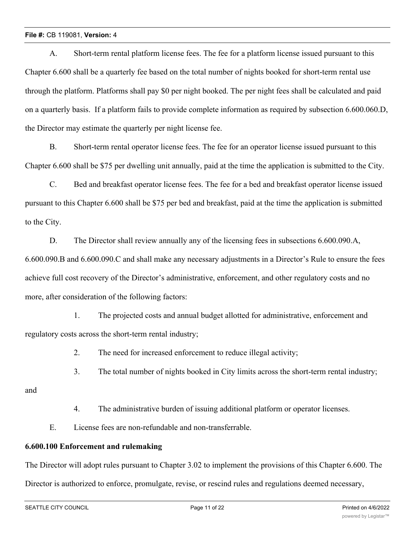A. Short-term rental platform license fees. The fee for a platform license issued pursuant to this Chapter 6.600 shall be a quarterly fee based on the total number of nights booked for short-term rental use through the platform. Platforms shall pay \$0 per night booked. The per night fees shall be calculated and paid on a quarterly basis. If a platform fails to provide complete information as required by subsection 6.600.060.D, the Director may estimate the quarterly per night license fee.

B. Short-term rental operator license fees. The fee for an operator license issued pursuant to this Chapter 6.600 shall be \$75 per dwelling unit annually, paid at the time the application is submitted to the City.

C. Bed and breakfast operator license fees. The fee for a bed and breakfast operator license issued pursuant to this Chapter 6.600 shall be \$75 per bed and breakfast, paid at the time the application is submitted to the City.

D. The Director shall review annually any of the licensing fees in subsections 6.600.090.A, 6.600.090.B and 6.600.090.C and shall make any necessary adjustments in a Director's Rule to ensure the fees achieve full cost recovery of the Director's administrative, enforcement, and other regulatory costs and no more, after consideration of the following factors:

1. The projected costs and annual budget allotted for administrative, enforcement and regulatory costs across the short-term rental industry;

2. The need for increased enforcement to reduce illegal activity;

3. The total number of nights booked in City limits across the short-term rental industry;

and

4. The administrative burden of issuing additional platform or operator licenses.

E. License fees are non-refundable and non-transferrable.

# **6.600.100 Enforcement and rulemaking**

The Director will adopt rules pursuant to Chapter 3.02 to implement the provisions of this Chapter 6.600. The

Director is authorized to enforce, promulgate, revise, or rescind rules and regulations deemed necessary,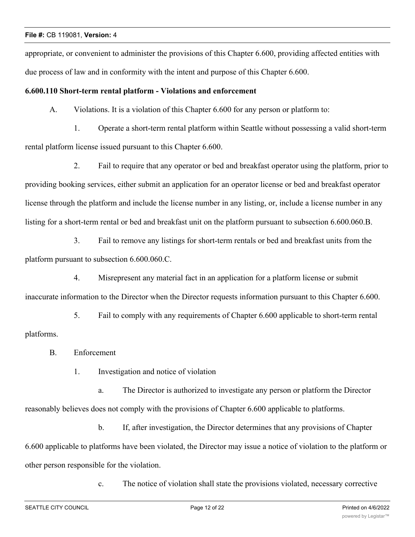appropriate, or convenient to administer the provisions of this Chapter 6.600, providing affected entities with due process of law and in conformity with the intent and purpose of this Chapter 6.600.

## **6.600.110 Short-term rental platform - Violations and enforcement**

A. Violations. It is a violation of this Chapter 6.600 for any person or platform to:

1. Operate a short-term rental platform within Seattle without possessing a valid short-term rental platform license issued pursuant to this Chapter 6.600.

2. Fail to require that any operator or bed and breakfast operator using the platform, prior to providing booking services, either submit an application for an operator license or bed and breakfast operator license through the platform and include the license number in any listing, or, include a license number in any listing for a short-term rental or bed and breakfast unit on the platform pursuant to subsection 6.600.060.B.

3. Fail to remove any listings for short-term rentals or bed and breakfast units from the platform pursuant to subsection 6.600.060.C.

4. Misrepresent any material fact in an application for a platform license or submit inaccurate information to the Director when the Director requests information pursuant to this Chapter 6.600.

5. Fail to comply with any requirements of Chapter 6.600 applicable to short-term rental platforms.

B. Enforcement

1. Investigation and notice of violation

a. The Director is authorized to investigate any person or platform the Director reasonably believes does not comply with the provisions of Chapter 6.600 applicable to platforms.

b. If, after investigation, the Director determines that any provisions of Chapter 6.600 applicable to platforms have been violated, the Director may issue a notice of violation to the platform or other person responsible for the violation.

c. The notice of violation shall state the provisions violated, necessary corrective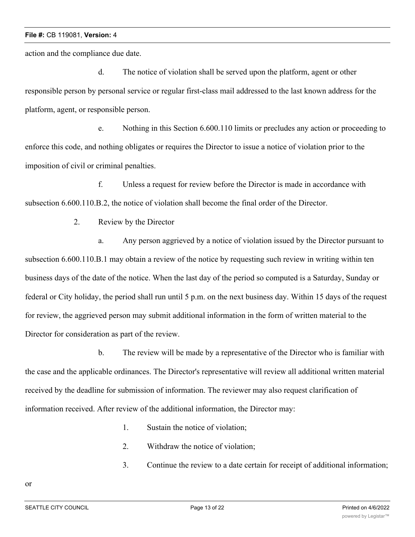action and the compliance due date.

d. The notice of violation shall be served upon the platform, agent or other responsible person by personal service or regular first-class mail addressed to the last known address for the platform, agent, or responsible person.

e. Nothing in this Section 6.600.110 limits or precludes any action or proceeding to enforce this code, and nothing obligates or requires the Director to issue a notice of violation prior to the imposition of civil or criminal penalties.

f. Unless a request for review before the Director is made in accordance with subsection 6.600.110.B.2, the notice of violation shall become the final order of the Director.

2. Review by the Director

a. Any person aggrieved by a notice of violation issued by the Director pursuant to subsection 6.600.110.B.1 may obtain a review of the notice by requesting such review in writing within ten business days of the date of the notice. When the last day of the period so computed is a Saturday, Sunday or federal or City holiday, the period shall run until 5 p.m. on the next business day. Within 15 days of the request for review, the aggrieved person may submit additional information in the form of written material to the Director for consideration as part of the review.

b. The review will be made by a representative of the Director who is familiar with the case and the applicable ordinances. The Director's representative will review all additional written material received by the deadline for submission of information. The reviewer may also request clarification of information received. After review of the additional information, the Director may:

- 1. Sustain the notice of violation;
- 2. Withdraw the notice of violation;
- 3. Continue the review to a date certain for receipt of additional information;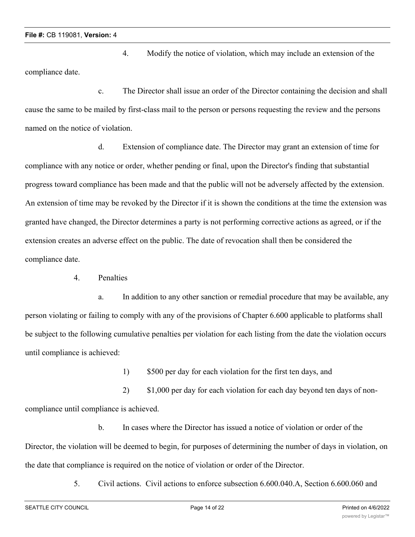4. Modify the notice of violation, which may include an extension of the compliance date.

c. The Director shall issue an order of the Director containing the decision and shall cause the same to be mailed by first-class mail to the person or persons requesting the review and the persons named on the notice of violation.

d. Extension of compliance date. The Director may grant an extension of time for compliance with any notice or order, whether pending or final, upon the Director's finding that substantial progress toward compliance has been made and that the public will not be adversely affected by the extension. An extension of time may be revoked by the Director if it is shown the conditions at the time the extension was granted have changed, the Director determines a party is not performing corrective actions as agreed, or if the extension creates an adverse effect on the public. The date of revocation shall then be considered the compliance date.

4. Penalties

a. In addition to any other sanction or remedial procedure that may be available, any person violating or failing to comply with any of the provisions of Chapter 6.600 applicable to platforms shall be subject to the following cumulative penalties per violation for each listing from the date the violation occurs until compliance is achieved:

1) \$500 per day for each violation for the first ten days, and

2) \$1,000 per day for each violation for each day beyond ten days of noncompliance until compliance is achieved.

b. In cases where the Director has issued a notice of violation or order of the Director, the violation will be deemed to begin, for purposes of determining the number of days in violation, on the date that compliance is required on the notice of violation or order of the Director.

5. Civil actions. Civil actions to enforce subsection 6.600.040.A, Section 6.600.060 and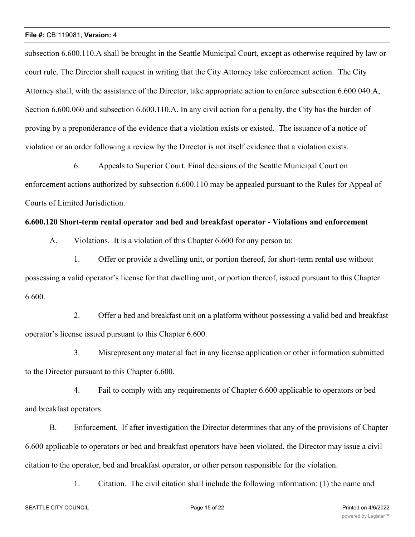subsection 6.600.110.A shall be brought in the Seattle Municipal Court, except as otherwise required by law or court rule. The Director shall request in writing that the City Attorney take enforcement action. The City Attorney shall, with the assistance of the Director, take appropriate action to enforce subsection 6.600.040.A, Section 6.600.060 and subsection 6.600.110.A. In any civil action for a penalty, the City has the burden of proving by a preponderance of the evidence that a violation exists or existed. The issuance of a notice of violation or an order following a review by the Director is not itself evidence that a violation exists.

6. Appeals to Superior Court. Final decisions of the Seattle Municipal Court on enforcement actions authorized by subsection 6.600.110 may be appealed pursuant to the Rules for Appeal of Courts of Limited Jurisdiction.

## **6.600.120 Short-term rental operator and bed and breakfast operator - Violations and enforcement**

A. Violations. It is a violation of this Chapter 6.600 for any person to:

1. Offer or provide a dwelling unit, or portion thereof, for short-term rental use without possessing a valid operator's license for that dwelling unit, or portion thereof, issued pursuant to this Chapter 6.600.

2. Offer a bed and breakfast unit on a platform without possessing a valid bed and breakfast operator's license issued pursuant to this Chapter 6.600.

3. Misrepresent any material fact in any license application or other information submitted to the Director pursuant to this Chapter 6.600.

4. Fail to comply with any requirements of Chapter 6.600 applicable to operators or bed and breakfast operators.

B. Enforcement. If after investigation the Director determines that any of the provisions of Chapter 6.600 applicable to operators or bed and breakfast operators have been violated, the Director may issue a civil citation to the operator, bed and breakfast operator, or other person responsible for the violation.

1. Citation. The civil citation shall include the following information: (1) the name and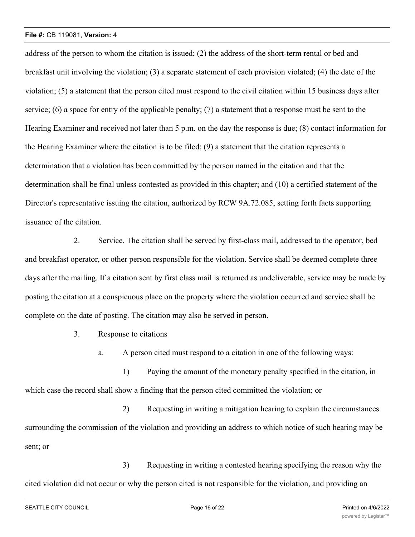address of the person to whom the citation is issued; (2) the address of the short-term rental or bed and breakfast unit involving the violation; (3) a separate statement of each provision violated; (4) the date of the violation; (5) a statement that the person cited must respond to the civil citation within 15 business days after service; (6) a space for entry of the applicable penalty; (7) a statement that a response must be sent to the Hearing Examiner and received not later than 5 p.m. on the day the response is due; (8) contact information for the Hearing Examiner where the citation is to be filed; (9) a statement that the citation represents a determination that a violation has been committed by the person named in the citation and that the determination shall be final unless contested as provided in this chapter; and (10) a certified statement of the Director's representative issuing the citation, authorized by RCW 9A.72.085, setting forth facts supporting issuance of the citation.

2. Service. The citation shall be served by first-class mail, addressed to the operator, bed and breakfast operator, or other person responsible for the violation. Service shall be deemed complete three days after the mailing. If a citation sent by first class mail is returned as undeliverable, service may be made by posting the citation at a conspicuous place on the property where the violation occurred and service shall be complete on the date of posting. The citation may also be served in person.

3. Response to citations

a. A person cited must respond to a citation in one of the following ways:

1) Paying the amount of the monetary penalty specified in the citation, in which case the record shall show a finding that the person cited committed the violation; or

2) Requesting in writing a mitigation hearing to explain the circumstances surrounding the commission of the violation and providing an address to which notice of such hearing may be sent; or

3) Requesting in writing a contested hearing specifying the reason why the cited violation did not occur or why the person cited is not responsible for the violation, and providing an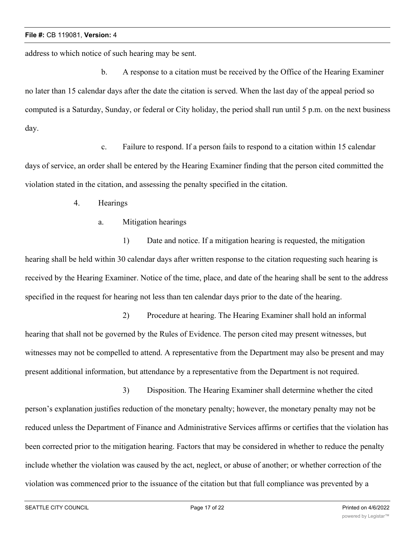address to which notice of such hearing may be sent.

b. A response to a citation must be received by the Office of the Hearing Examiner no later than 15 calendar days after the date the citation is served. When the last day of the appeal period so computed is a Saturday, Sunday, or federal or City holiday, the period shall run until 5 p.m. on the next business day.

c. Failure to respond. If a person fails to respond to a citation within 15 calendar days of service, an order shall be entered by the Hearing Examiner finding that the person cited committed the violation stated in the citation, and assessing the penalty specified in the citation.

- 4. Hearings
	- a. Mitigation hearings

1) Date and notice. If a mitigation hearing is requested, the mitigation hearing shall be held within 30 calendar days after written response to the citation requesting such hearing is received by the Hearing Examiner. Notice of the time, place, and date of the hearing shall be sent to the address specified in the request for hearing not less than ten calendar days prior to the date of the hearing.

2) Procedure at hearing. The Hearing Examiner shall hold an informal hearing that shall not be governed by the Rules of Evidence. The person cited may present witnesses, but witnesses may not be compelled to attend. A representative from the Department may also be present and may present additional information, but attendance by a representative from the Department is not required.

3) Disposition. The Hearing Examiner shall determine whether the cited person's explanation justifies reduction of the monetary penalty; however, the monetary penalty may not be reduced unless the Department of Finance and Administrative Services affirms or certifies that the violation has been corrected prior to the mitigation hearing. Factors that may be considered in whether to reduce the penalty include whether the violation was caused by the act, neglect, or abuse of another; or whether correction of the violation was commenced prior to the issuance of the citation but that full compliance was prevented by a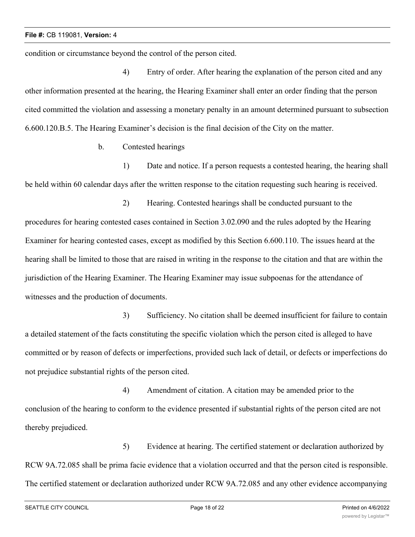condition or circumstance beyond the control of the person cited.

4) Entry of order. After hearing the explanation of the person cited and any other information presented at the hearing, the Hearing Examiner shall enter an order finding that the person cited committed the violation and assessing a monetary penalty in an amount determined pursuant to subsection 6.600.120.B.5. The Hearing Examiner's decision is the final decision of the City on the matter.

b. Contested hearings

1) Date and notice. If a person requests a contested hearing, the hearing shall be held within 60 calendar days after the written response to the citation requesting such hearing is received.

2) Hearing. Contested hearings shall be conducted pursuant to the procedures for hearing contested cases contained in Section 3.02.090 and the rules adopted by the Hearing Examiner for hearing contested cases, except as modified by this Section 6.600.110. The issues heard at the hearing shall be limited to those that are raised in writing in the response to the citation and that are within the jurisdiction of the Hearing Examiner. The Hearing Examiner may issue subpoenas for the attendance of witnesses and the production of documents.

3) Sufficiency. No citation shall be deemed insufficient for failure to contain a detailed statement of the facts constituting the specific violation which the person cited is alleged to have committed or by reason of defects or imperfections, provided such lack of detail, or defects or imperfections do not prejudice substantial rights of the person cited.

4) Amendment of citation. A citation may be amended prior to the conclusion of the hearing to conform to the evidence presented if substantial rights of the person cited are not thereby prejudiced.

5) Evidence at hearing. The certified statement or declaration authorized by RCW 9A.72.085 shall be prima facie evidence that a violation occurred and that the person cited is responsible. The certified statement or declaration authorized under RCW 9A.72.085 and any other evidence accompanying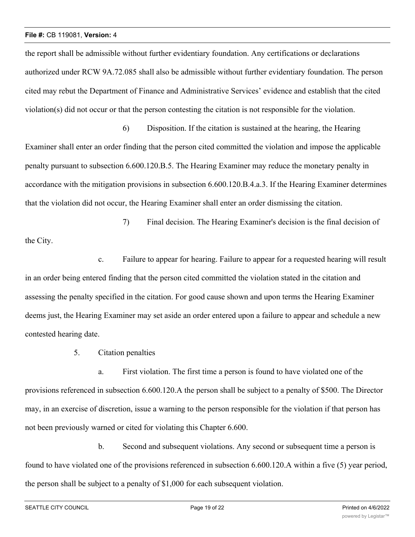the report shall be admissible without further evidentiary foundation. Any certifications or declarations authorized under RCW 9A.72.085 shall also be admissible without further evidentiary foundation. The person cited may rebut the Department of Finance and Administrative Services' evidence and establish that the cited violation(s) did not occur or that the person contesting the citation is not responsible for the violation.

6) Disposition. If the citation is sustained at the hearing, the Hearing Examiner shall enter an order finding that the person cited committed the violation and impose the applicable penalty pursuant to subsection 6.600.120.B.5. The Hearing Examiner may reduce the monetary penalty in accordance with the mitigation provisions in subsection 6.600.120.B.4.a.3. If the Hearing Examiner determines that the violation did not occur, the Hearing Examiner shall enter an order dismissing the citation.

7) Final decision. The Hearing Examiner's decision is the final decision of the City.

c. Failure to appear for hearing. Failure to appear for a requested hearing will result in an order being entered finding that the person cited committed the violation stated in the citation and assessing the penalty specified in the citation. For good cause shown and upon terms the Hearing Examiner deems just, the Hearing Examiner may set aside an order entered upon a failure to appear and schedule a new contested hearing date.

5. Citation penalties

a. First violation. The first time a person is found to have violated one of the provisions referenced in subsection 6.600.120.A the person shall be subject to a penalty of \$500. The Director may, in an exercise of discretion, issue a warning to the person responsible for the violation if that person has not been previously warned or cited for violating this Chapter 6.600.

b. Second and subsequent violations. Any second or subsequent time a person is found to have violated one of the provisions referenced in subsection 6.600.120.A within a five (5) year period, the person shall be subject to a penalty of \$1,000 for each subsequent violation.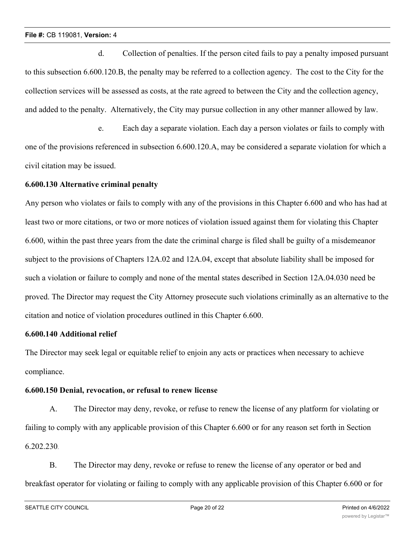d. Collection of penalties. If the person cited fails to pay a penalty imposed pursuant to this subsection 6.600.120.B, the penalty may be referred to a collection agency. The cost to the City for the collection services will be assessed as costs, at the rate agreed to between the City and the collection agency, and added to the penalty. Alternatively, the City may pursue collection in any other manner allowed by law.

e. Each day a separate violation. Each day a person violates or fails to comply with one of the provisions referenced in subsection 6.600.120.A, may be considered a separate violation for which a civil citation may be issued.

# **6.600.130 Alternative criminal penalty**

Any person who violates or fails to comply with any of the provisions in this Chapter 6.600 and who has had at least two or more citations, or two or more notices of violation issued against them for violating this Chapter 6.600, within the past three years from the date the criminal charge is filed shall be guilty of a misdemeanor subject to the provisions of Chapters 12A.02 and 12A.04, except that absolute liability shall be imposed for such a violation or failure to comply and none of the mental states described in Section 12A.04.030 need be proved. The Director may request the City Attorney prosecute such violations criminally as an alternative to the citation and notice of violation procedures outlined in this Chapter 6.600.

# **6.600.140 Additional relief**

The Director may seek legal or equitable relief to enjoin any acts or practices when necessary to achieve compliance.

## **6.600.150 Denial, revocation, or refusal to renew license**

A. The Director may deny, revoke, or refuse to renew the license of any platform for violating or failing to comply with any applicable provision of this Chapter 6.600 or for any reason set forth in Section 6.202.230.

B. The Director may deny, revoke or refuse to renew the license of any operator or bed and breakfast operator for violating or failing to comply with any applicable provision of this Chapter 6.600 or for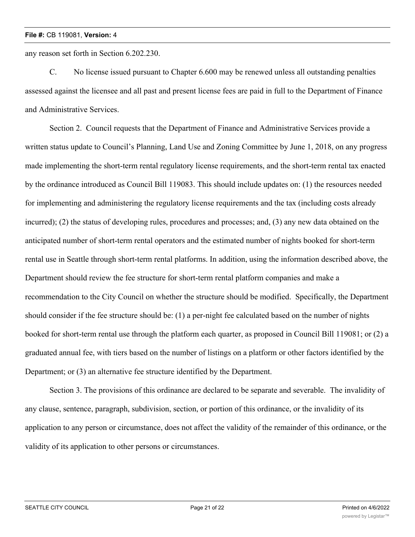any reason set forth in Section 6.202.230.

C. No license issued pursuant to Chapter 6.600 may be renewed unless all outstanding penalties assessed against the licensee and all past and present license fees are paid in full to the Department of Finance and Administrative Services.

Section 2. Council requests that the Department of Finance and Administrative Services provide a written status update to Council's Planning, Land Use and Zoning Committee by June 1, 2018, on any progress made implementing the short-term rental regulatory license requirements, and the short-term rental tax enacted by the ordinance introduced as Council Bill 119083. This should include updates on: (1) the resources needed for implementing and administering the regulatory license requirements and the tax (including costs already incurred); (2) the status of developing rules, procedures and processes; and, (3) any new data obtained on the anticipated number of short-term rental operators and the estimated number of nights booked for short-term rental use in Seattle through short-term rental platforms. In addition, using the information described above, the Department should review the fee structure for short-term rental platform companies and make a recommendation to the City Council on whether the structure should be modified. Specifically, the Department should consider if the fee structure should be: (1) a per-night fee calculated based on the number of nights booked for short-term rental use through the platform each quarter, as proposed in Council Bill 119081; or (2) a graduated annual fee, with tiers based on the number of listings on a platform or other factors identified by the Department; or (3) an alternative fee structure identified by the Department.

Section 3. The provisions of this ordinance are declared to be separate and severable. The invalidity of any clause, sentence, paragraph, subdivision, section, or portion of this ordinance, or the invalidity of its application to any person or circumstance, does not affect the validity of the remainder of this ordinance, or the validity of its application to other persons or circumstances.